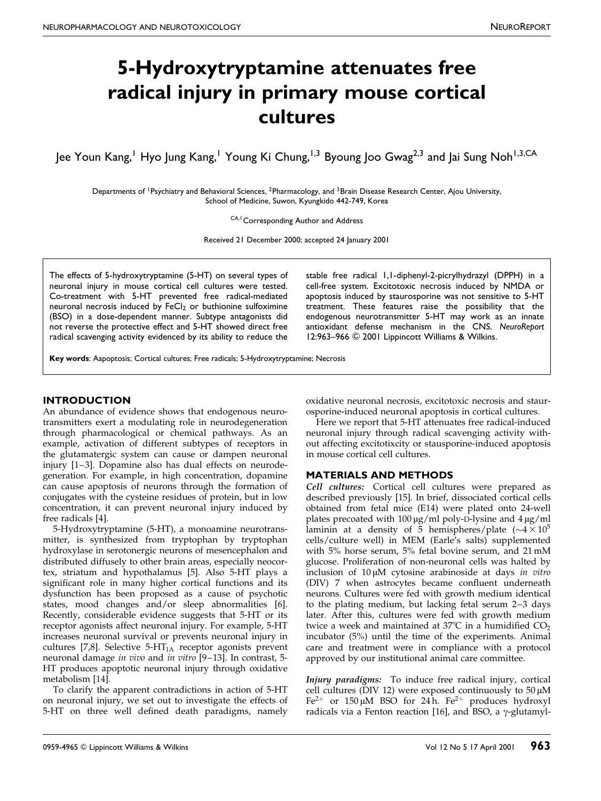# 5-Hydroxytryptamine attenuates free radical injury in primary mouse cortical cultures

Jee Youn Kang,<sup>1</sup> Hyo Jung Kang,<sup>1</sup> Young Ki Chung,<sup>1,3</sup> Byoung Joo Gwag<sup>2,3</sup> and Jai Sung Noh<sup>1,3,CA</sup>

Departments of <sup>1</sup>Psychiatry and Behavioral Sciences, <sup>2</sup>Pharmacology, and <sup>3</sup>Brain Disease Research Center, Ajou University, School of Medicine, Suwon, Kyungkido 442-749, Korea

CA,<sup>1</sup> Corresponding Author and Address

Received 21 December 2000; accepted 24 January 2001

The effects of 5-hydroxytryptamine (5-HT) on several types of neuronal injury in mouse cortical cell cultures were tested. Co-treatment with 5-HT prevented free radical-mediated neuronal necrosis induced by  $FeCl<sub>2</sub>$  or buthionine sulfoximine (BSO) in a dose-dependent manner. Subtype antagonists did not reverse the protective effect and 5-HT showed direct free radical scavenging activity evidenced by its ability to reduce the stable free radical 1,1-diphenyl-2-picrylhydrazyl (DPPH) in a cell-free system. Excitotoxic necrosis induced by NMDA or apoptosis induced by staurosporine was not sensitive to 5-HT treatment. These features raise the possibility that the endogenous neurotransmitter 5-HT may work as an innate antioxidant defense mechanism in the CNS. NeuroReport 12:963-966 © 2001 Lippincott Williams & Wilkins.

Key words: Aapoptosis; Cortical cultures; Free radicals; 5-Hydroxytryptamine; Necrosis

### **INTRODUCTION**

An abundance of evidence shows that endogenous neurotransmitters exert a modulating role in neurodegeneration through pharmacological or chemical pathways. As an example, activation of different subtypes of receptors in the glutamatergic system can cause or dampen neuronal injury [1-3]. Dopamine also has dual effects on neurodegeneration. For example, in high concentration, dopamine can cause apoptosis of neurons through the formation of conjugates with the cysteine residues of protein, but in low concentration, it can prevent neuronal injury induced by free radicals [\[4\].](#page-3-0)

5-Hydroxytryptamine (5-HT), a monoamine neurotransmitter, is synthesized from tryptophan by tryptophan hydroxylase in serotonergic neurons of mesencephalon and distributed diffusely to other brain areas, especially neocortex, striatum and hypothalamus [\[5\].](#page-3-0) Also 5-HT plays a significant role in many higher cortical functions and its dysfunction has been proposed as a cause of psychotic states, mood changes and/or sleep abnormalities [\[6\].](#page-3-0) Recently, considerable evidence suggests that 5-HT or its receptor agonists affect neuronal injury. For example, 5-HT increases neuronal survival or prevents neuronal injury in cultures [\[7,8\].](#page-3-0) Selective  $5-HT<sub>1A</sub>$  receptor agonists prevent neuronal damage in vivo and in vitro [9-13]. In contrast, 5-HT produces apoptotic neuronal injury through oxidative metabolism [\[14\].](#page-3-0)

To clarify the apparent contradictions in action of 5-HT on neuronal injury, we set out to investigate the effects of 5-HT on three well defined death paradigms, namely oxidative neuronal necrosis, excitotoxic necrosis and staurosporine-induced neuronal apoptosis in cortical cultures.

Here we report that 5-HT attenuates free radical-induced neuronal injury through radical scavenging activity without affecting excitotixcity or stausporine-induced apoptosis in mouse cortical cell cultures.

## MATERIALS AND METHODS

Cell cultures: Cortical cell cultures were prepared as described previously [\[15\].](#page-3-0) In brief, dissociated cortical cells obtained from fetal mice (E14) were plated onto 24-well plates precoated with  $100 \,\mu\text{g/ml}$  poly-D-lysine and  $4 \,\mu\text{g/ml}$ laminin at a density of 5 hemispheres/plate  $({\sim}4 \times 10^5$ cells/culture well) in MEM (Earle's salts) supplemented with 5% horse serum, 5% fetal bovine serum, and 21 mM glucose. Proliferation of non-neuronal cells was halted by inclusion of  $10 \mu M$  cytosine arabinoside at days in vitro (DIV) 7 when astrocytes became confluent underneath neurons. Cultures were fed with growth medium identical to the plating medium, but lacking fetal serum 2-3 days later. After this, cultures were fed with growth medium twice a week and maintained at  $37^{\circ}$ C in a humidified  $CO_{2}$ incubator (5%) until the time of the experiments. Animal care and treatment were in compliance with a protocol approved by our institutional animal care committee.

Injury paradigms: To induce free radical injury, cortical cell cultures (DIV 12) were exposed continuously to  $50 \mu M$ Fe<sup>2+</sup> or 150 µM BSO for 24 h. Fe<sup>2+</sup> produces hydroxyl radicals via a Fenton reaction [\[16\],](#page-3-0) and BSO, a  $\gamma$ -glutamyl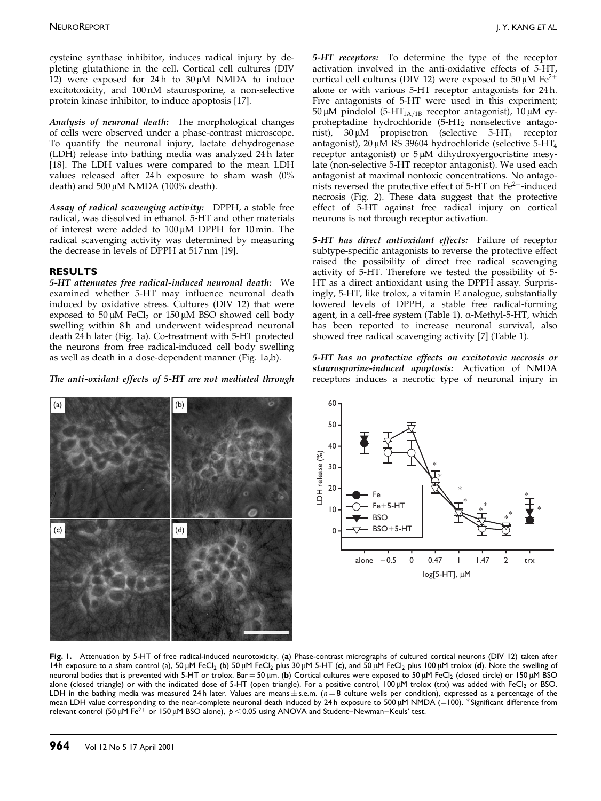NEUROREPORT **International Contract Contract Contract Contract Contract Contract Contract Contract Contract Contract Contract Contract Contract Contract Contract Contract Contract Contract Contract Contract Contract Contra** 

cysteine synthase inhibitor, induces radical injury by depleting glutathione in the cell. Cortical cell cultures (DIV 12) were exposed for 24 h to  $30 \mu M$  NMDA to induce excitotoxicity, and 100 nM staurosporine, a non-selective protein kinase inhibitor, to induce apoptosis [\[17\].](#page-3-0)

Analysis of neuronal death: The morphological changes of cells were observed under a phase-contrast microscope. To quantify the neuronal injury, lactate dehydrogenase (LDH) release into bathing media was analyzed 24 h later [\[18\].](#page-3-0) The LDH values were compared to the mean LDH values released after  $24 h$  exposure to sham wash  $(0\%$ death) and  $500 \mu M NMDA$  (100% death).

Assay of radical scavenging activity: DPPH, a stable free radical, was dissolved in ethanol. 5-HT and other materials of interest were added to  $100 \mu M$  DPPH for 10 min. The radical scavenging activity was determined by measuring the decrease in levels of DPPH at 517 nm [\[19\].](#page-3-0)

#### RESULTS

5-HT attenuates free radical-induced neuronal death: We examined whether 5-HT may influence neuronal death induced by oxidative stress. Cultures (DIV 12) that were exposed to 50  $\mu$ M FeCl<sub>2</sub> or 150  $\mu$ M BSO showed cell body swelling within 8h and underwent widespread neuronal death 24 h later (Fig. 1a). Co-treatment with 5-HT protected the neurons from free radical-induced cell body swelling as well as death in a dose-dependent manner (Fig. 1a,b).

The anti-oxidant effects of 5-HT are not mediated through

5-HT receptors: To determine the type of the receptor activation involved in the anti-oxidative effects of 5-HT, cortical cell cultures (DIV 12) were exposed to  $50 \mu M$  Fe<sup>2+</sup> alone or with various 5-HT receptor antagonists for 24 h. Five antagonists of 5-HT were used in this experiment; 50 μM pindolol (5-HT<sub>1A/1B</sub> receptor antagonist), 10 μM cyproheptadine hydrochloride (5-HT<sub>2</sub> nonselective antagonist),  $30 \mu M$  propisetron (selective  $5-HT_3$  receptor antagonist),  $20 \mu M$  RS 39604 hydrochloride (selective 5-HT<sub>4</sub> receptor antagonist) or  $5 \mu M$  dihydroxyergocristine mesylate (non-selective 5-HT receptor antagonist). We used each antagonist at maximal nontoxic concentrations. No antagonists reversed the protective effect of  $5-HT$  on  $Fe<sup>2+</sup>$ -induced necrosis (Fig. [2\).](#page-2-0) These data suggest that the protective effect of 5-HT against free radical injury on cortical neurons is not through receptor activation.

5-HT has direct antioxidant effects: Failure of receptor subtype-specific antagonists to reverse the protective effect raised the possibility of direct free radical scavenging activity of 5-HT. Therefore we tested the possibility of 5- HT as a direct antioxidant using the DPPH assay. Surprisingly, 5-HT, like trolox, a vitamin E analogue, substantially lowered levels of DPPH, a stable free radical-forming agent, in a cell-free system [\(Table 1\).](#page-2-0)  $\alpha$ -Methyl-5-HT, which has been reported to increase neuronal survival, also showed free radical scavenging activity [\[7\]](#page-3-0) [\(Table 1\).](#page-2-0)

5-HT has no protective effects on excitotoxic necrosis or staurosporine-induced apoptosis: Activation of NMDA receptors induces a necrotic type of neuronal injury in





Fig. I. Attenuation by 5-HT of free radical-induced neurotoxicity. (a) Phase-contrast micrographs of cultured cortical neurons (DIV 12) taken after 14h exposure to a sham control (a), 50 µM FeCl<sub>2</sub> (b) 50 µM FeCl<sub>2</sub> plus 30 µM 5-HT (c), and 50 µM FeCl<sub>2</sub> plus 100 µM trolox (d). Note the swelling of neuronal bodies that is prevented with 5-HT or trolox. Bar = 50 µm. (b) Cortical cultures were exposed to 50 µM FeCl<sub>2</sub> (closed circle) or 150 µM BSO alone (closed triangle) or with the indicated dose of 5-HT (open triangle). For a positive control, 100 µM trolox (trx) was added with FeCl2 or BSO. LDH in the bathing media was measured 24h later. Values are means  $\pm$  s.e.m. ( $n = 8$  culture wells per condition), expressed as a percentage of the mean LDH value corresponding to the near-complete neuronal death induced by 24 h exposure to 500  $\mu$ M NMDA (=100). \*Significant difference from relevant control (50 µM Fe<sup>2+</sup> or 150 µM BSO alone),  $p < 0.05$  using ANOVA and Student-Newman-Keuls' test.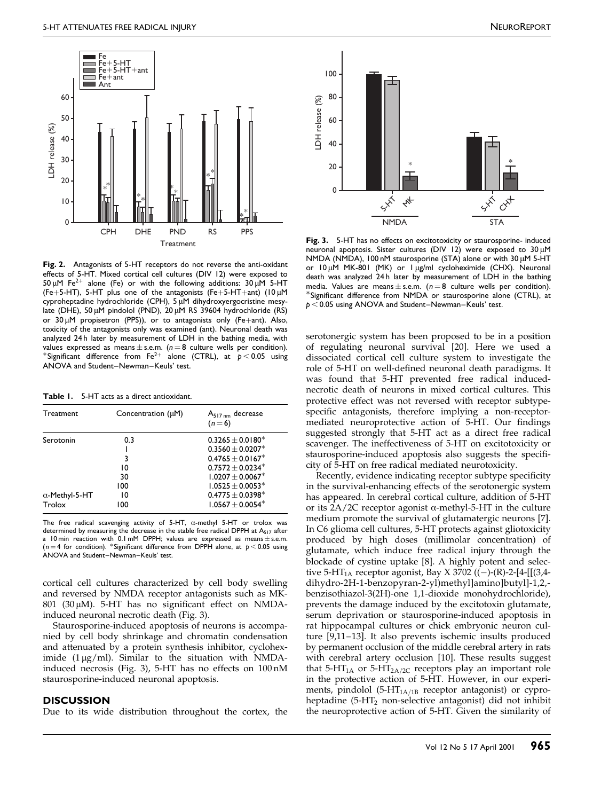<span id="page-2-0"></span>

Fig. 2. Antagonists of 5-HT receptors do not reverse the anti-oxidant effects of 5-HT. Mixed cortical cell cultures (DIV 12) were exposed to 50  $\mu$ M Fe<sup>2+</sup> alone (Fe) or with the following additions: 30  $\mu$ M 5-HT (Fe+5-HT), 5-HT plus one of the antagonists (Fe+5-HT+ant) (10  $\mu$ M cyproheptadine hydrochloride (CPH), 5 µM dihydroxyergocristine mesylate (DHE), 50 µM pindolol (PND), 20 µM RS 39604 hydrochloride (RS) or  $30 \mu$ M propisetron (PPS)), or to antagonists only (Fe+ant). Also, toxicity of the antagonists only was examined (ant). Neuronal death was analyzed 24h later by measurement of LDH in the bathing media, with values expressed as means  $\pm$  s.e.m. (n = 8 culture wells per condition).<br>\*Significant difference from Fe<sup>2+</sup> alone (CTRL), at p < 0.05 using ANOVA and Student-Newman-Keuls' test.

Table 1. 5-HT acts as a direct antioxidant.

| Treatment                       | Concentration $(\mu M)$ | $A_{517 \text{ nm}}$ decrease<br>$(n=6)$                                                         |
|---------------------------------|-------------------------|--------------------------------------------------------------------------------------------------|
| Serotonin                       | 0.3<br>3<br>10          | $0.3265 + 0.0180*$<br>$0.3560 + 0.0207*$<br>$0.4765 + 0.0167$ <sup>*</sup><br>$0.7572 + 0.0234*$ |
| $\alpha$ -Methyl-5-HT<br>Trolox | 30<br>100<br>10<br>100  | $1.0207 + 0.0067*$<br>$1.0525 + 0.0053*$<br>$0.4775 \pm 0.0398^*$<br>$1.0567 + 0.0054*$          |

The free radical scavenging activity of 5-HT,  $\alpha$ -methyl 5-HT or trolox was determined by measuring the decrease in the stable free radical DPPH at A<sub>517</sub> after a 10 min reaction with  $0.1$  mM DPPH; values are expressed as means  $\pm$  s.e.m. (n = 4 for condition). \*Significant difference from DPPH alone, at  $p < 0.05$  using ANOVA and Student-Newman-Keuls' test.

cortical cell cultures characterized by cell body swelling and reversed by NMDA receptor antagonists such as MK-801 (30  $\mu$ M). 5-HT has no significant effect on NMDAinduced neuronal necrotic death (Fig. 3).

Staurosporine-induced apoptosis of neurons is accompanied by cell body shrinkage and chromatin condensation and attenuated by a protein synthesis inhibitor, cycloheximide  $(1 \mu g/ml)$ . Similar to the situation with NMDAinduced necrosis (Fig. 3), 5-HT has no effects on 100 nM staurosporine-induced neuronal apoptosis.

#### **DISCUSSION**

Due to its wide distribution throughout the cortex, the



Fig. 3. 5-HT has no effects on excitotoxicity or staurosporine- induced neuronal apoptosis. Sister cultures (DIV 12) were exposed to 30 uM NMDA (NMDA), 100 nM staurosporine (STA) alone or with 30 µM 5-HT or 10 µM MK-801 (MK) or 1 µg/ml cycloheximide (CHX). Neuronal death was analyzed 24 h later by measurement of LDH in the bathing media. Values are means  $\pm$  s.e.m. ( $n = 8$  culture wells per condition). \*Significant difference from NMDA or staurosporine alone (CTRL), at  $p < 0.05$  using ANOVA and Student-Newman-Keuls' test.

serotonergic system has been proposed to be in a position of regulating neuronal survival [\[20\].](#page-3-0) Here we used a dissociated cortical cell culture system to investigate the role of 5-HT on well-defined neuronal death paradigms. It was found that 5-HT prevented free radical inducednecrotic death of neurons in mixed cortical cultures. This protective effect was not reversed with receptor subtypespecific antagonists, therefore implying a non-receptormediated neuroprotective action of 5-HT. Our findings suggested strongly that 5-HT act as a direct free radical scavenger. The ineffectiveness of 5-HT on excitotoxicity or staurosporine-induced apoptosis also suggests the specificity of 5-HT on free radical mediated neurotoxicity.

Recently, evidence indicating receptor subtype specificity in the survival-enhancing effects of the serotonergic system has appeared. In cerebral cortical culture, addition of 5-HT or its  $2A/2C$  receptor agonist  $\alpha$ -methyl-5-HT in the culture medium promote the survival of glutamatergic neurons [\[7\].](#page-3-0) In C6 glioma cell cultures, 5-HT protects against gliotoxicity produced by high doses (millimolar concentration) of glutamate, which induce free radical injury through the blockade of cystine uptake [\[8\].](#page-3-0) A highly potent and selective 5-HT<sub>1A</sub> receptor agonist, Bay X 3702 ((-)-(R)-2-[4-[[(3,4dihydro-2H-1-benzopyran-2-yl)methyl]amino]butyl]-1,2, benzisothiazol-3(2H)-one 1,1-dioxide monohydrochloride), prevents the damage induced by the excitotoxin glutamate, serum deprivation or staurosporine-induced apoptosis in rat hippocampal cultures or chick embryonic neuron culture [9,11-13]. It also prevents ischemic insults produced by permanent occlusion of the middle cerebral artery in rats with cerebral artery occlusion [\[10\].](#page-3-0) These results suggest that 5-HT<sub>1A</sub> or 5-HT<sub>2A/2C</sub> receptors play an important role in the protective action of 5-HT. However, in our experiments, pindolol (5- $HT<sub>1A/1B</sub>$  receptor antagonist) or cyproheptadine (5-HT2 non-selective antagonist) did not inhibit the neuroprotective action of 5-HT. Given the similarity of